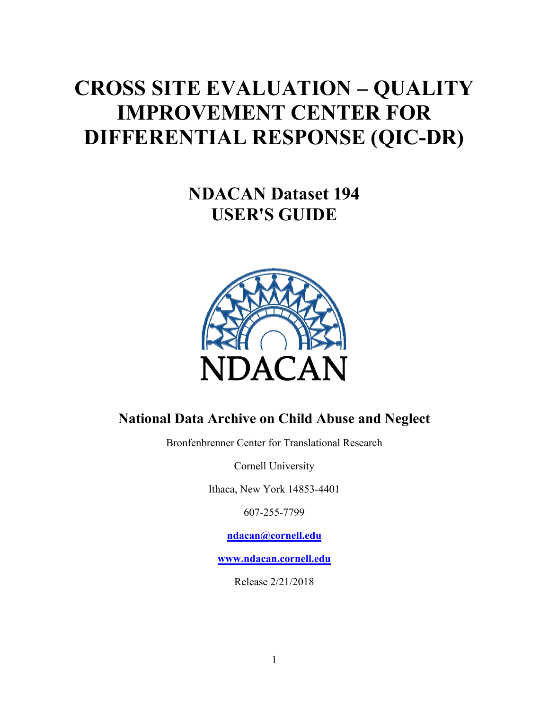# <span id="page-0-0"></span>**CROSS SITE EVALUATION – QUALITY IMPROVEMENT CENTER FOR DIFFERENTIAL RESPONSE (QIC-DR)**

**NDACAN Dataset 194 USER'S GUIDE**



## **National Data Archive on Child Abuse and Neglect**

Bronfenbrenner Center for Translational Research

Cornell University

Ithaca, New York 14853-4401

607-255-7799

**[ndacan@cornell.ed](mailto:ndacan@cornell.edu)u**

**[www.ndacan.cornell.ed](http://www.ndacan.cornell.edu/)u**

Release 2/21/2018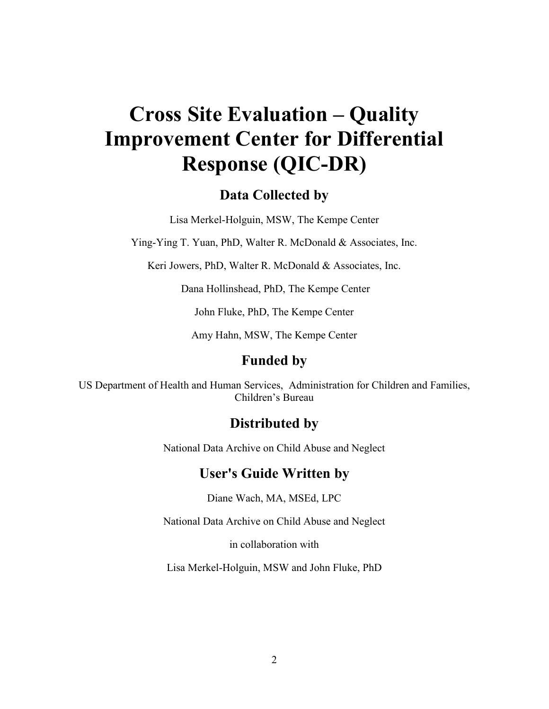## **Cross Site Evaluation – Quality Improvement Center for Differential Response (QIC-DR)**

## **Data Collected by**

Lisa Merkel-Holguin, MSW, The Kempe Center

Ying-Ying T. Yuan, PhD, Walter R. McDonald & Associates, Inc.

Keri Jowers, PhD, Walter R. McDonald & Associates, Inc.

Dana Hollinshead, PhD, The Kempe Center

John Fluke, PhD, The Kempe Center

Amy Hahn, MSW, The Kempe Center

## **Funded by**

US Department of Health and Human Services, Administration for Children and Families, Children's Bureau

## **Distributed by**

National Data Archive on Child Abuse and Neglect

## **User's Guide Written by**

Diane Wach, MA, MSEd, LPC

National Data Archive on Child Abuse and Neglect

in collaboration with

Lisa Merkel-Holguin, MSW and John Fluke, PhD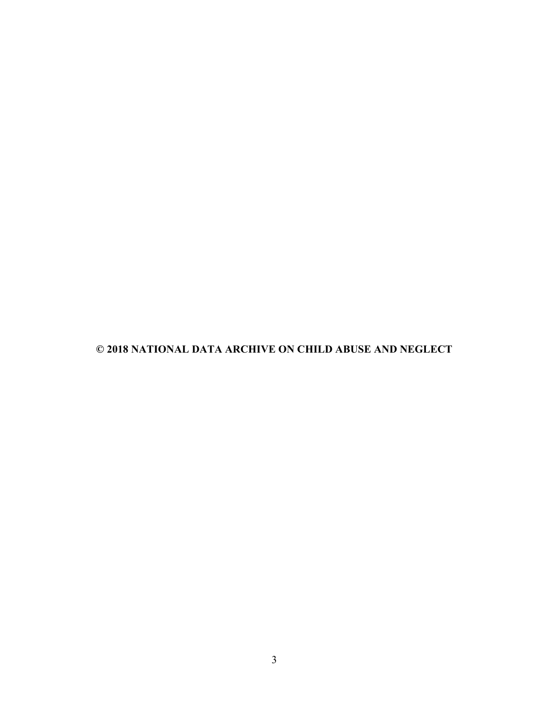**© 2018 NATIONAL DATA ARCHIVE ON CHILD ABUSE AND NEGLECT**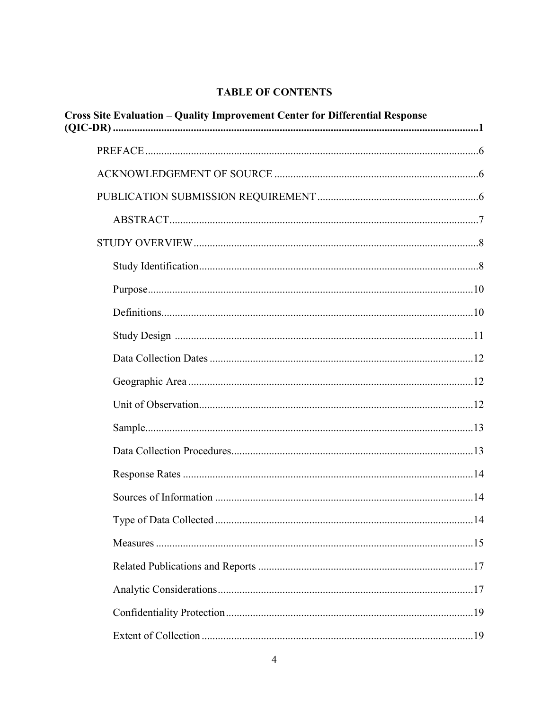#### **TABLE OF CONTENTS**

| <b>Cross Site Evaluation - Quality Improvement Center for Differential Response</b> |  |
|-------------------------------------------------------------------------------------|--|
|                                                                                     |  |
|                                                                                     |  |
|                                                                                     |  |
|                                                                                     |  |
|                                                                                     |  |
|                                                                                     |  |
|                                                                                     |  |
|                                                                                     |  |
|                                                                                     |  |
|                                                                                     |  |
|                                                                                     |  |
|                                                                                     |  |
|                                                                                     |  |
|                                                                                     |  |
|                                                                                     |  |
|                                                                                     |  |
|                                                                                     |  |
|                                                                                     |  |
|                                                                                     |  |
|                                                                                     |  |
|                                                                                     |  |
|                                                                                     |  |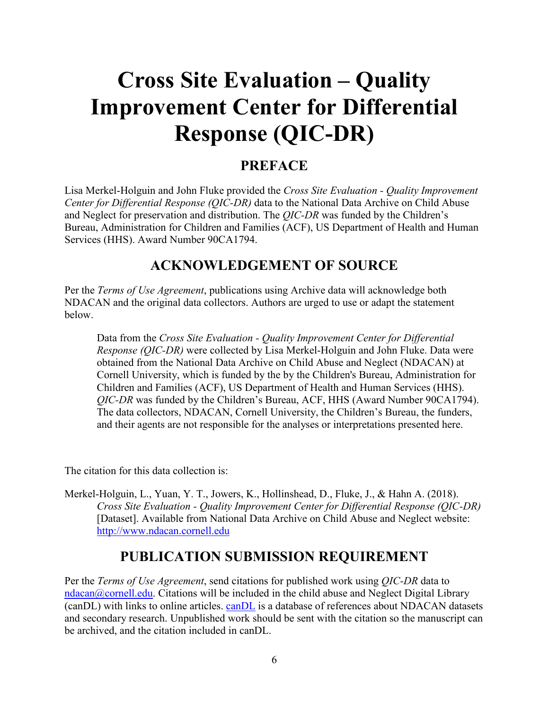# **Cross Site Evaluation – Quality Improvement Center for Differential Response (QIC-DR)**

## <span id="page-5-0"></span>**PREFACE**

Lisa Merkel-Holguin and John Fluke provided the *Cross Site Evaluation - Quality Improvement Center for Differential Response (QIC-DR)* data to the National Data Archive on Child Abuse and Neglect for preservation and distribution. The *QIC-DR* was funded by the Children's Bureau, Administration for Children and Families (ACF), US Department of Health and Human Services (HHS). Award Number 90CA1794.

## <span id="page-5-1"></span>**ACKNOWLEDGEMENT OF SOURCE**

Per the *Terms of Use Agreement*, publications using Archive data will acknowledge both NDACAN and the original data collectors. Authors are urged to use or adapt the statement below.

Data from the *Cross Site Evaluation - Quality Improvement Center for Differential Response (QIC-DR)* were collected by Lisa Merkel-Holguin and John Fluke. Data were obtained from the National Data Archive on Child Abuse and Neglect (NDACAN) at Cornell University, which is funded by the by the Children's Bureau, Administration for Children and Families (ACF), US Department of Health and Human Services (HHS). *QIC-DR* was funded by the Children's Bureau, ACF, HHS (Award Number 90CA1794). The data collectors, NDACAN, Cornell University, the Children's Bureau, the funders, and their agents are not responsible for the analyses or interpretations presented here.

The citation for this data collection is:

Merkel-Holguin, L., Yuan, Y. T., Jowers, K., Hollinshead, D., Fluke, J., & Hahn A. (2018). *Cross Site Evaluation - Quality Improvement Center for Differential Response (QIC-DR)*  [Dataset]. Available from National Data Archive on Child Abuse and Neglect website: [http://www.ndacan.cornell.e](http://www.ndacan.cornell.edu/)du

## <span id="page-5-2"></span>**PUBLICATION SUBMISSION REQUIREMENT**

Per the *Terms of Use Agreement*, send citations for published work using *QIC-DR* data to [ndacan@cornell.edu.](mailto:ndacan@cornell.edu) Citations will be included in the child abuse and Neglect Digital Library (canDL) with links to online articles. [canDL](http://www.ndacan.acf.hhs.gov/publications/publications.cfm) is a database of references about NDACAN datasets and secondary research. Unpublished work should be sent with the citation so the manuscript can be archived, and the citation included in canDL.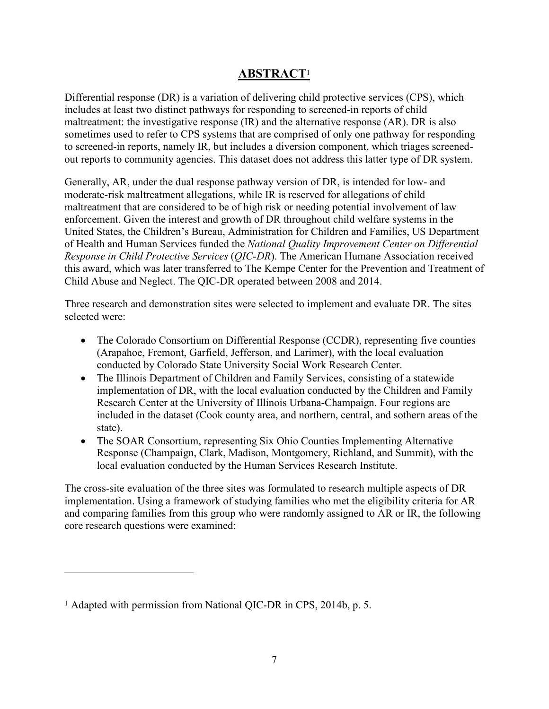## <span id="page-6-0"></span>**ABSTRACT** [1](#page-6-1)

Differential response (DR) is a variation of delivering child protective services (CPS), which includes at least two distinct pathways for responding to screened-in reports of child maltreatment: the investigative response (IR) and the alternative response (AR). DR is also sometimes used to refer to CPS systems that are comprised of only one pathway for responding to screened-in reports, namely IR, but includes a diversion component, which triages screenedout reports to community agencies. This dataset does not address this latter type of DR system.

Generally, AR, under the dual response pathway version of DR, is intended for low- and moderate-risk maltreatment allegations, while IR is reserved for allegations of child maltreatment that are considered to be of high risk or needing potential involvement of law enforcement. Given the interest and growth of DR throughout child welfare systems in the United States, the Children's Bureau, Administration for Children and Families, US Department of Health and Human Services funded the *National Quality Improvement Center on Differential Response in Child Protective Services* (*QIC-DR*). The American Humane Association received this award, which was later transferred to The Kempe Center for the Prevention and Treatment of Child Abuse and Neglect. The QIC-DR operated between 2008 and 2014.

Three research and demonstration sites were selected to implement and evaluate DR. The sites selected were:

- The Colorado Consortium on Differential Response (CCDR), representing five counties (Arapahoe, Fremont, Garfield, Jefferson, and Larimer), with the local evaluation conducted by Colorado State University Social Work Research Center.
- The Illinois Department of Children and Family Services, consisting of a statewide implementation of DR, with the local evaluation conducted by the Children and Family Research Center at the University of Illinois Urbana-Champaign. Four regions are included in the dataset (Cook county area, and northern, central, and sothern areas of the state).
- The SOAR Consortium, representing Six Ohio Counties Implementing Alternative Response (Champaign, Clark, Madison, Montgomery, Richland, and Summit), with the local evaluation conducted by the Human Services Research Institute.

The cross-site evaluation of the three sites was formulated to research multiple aspects of DR implementation. Using a framework of studying families who met the eligibility criteria for AR and comparing families from this group who were randomly assigned to AR or IR, the following core research questions were examined:

 $\overline{a}$ 

<span id="page-6-1"></span><sup>1</sup> Adapted with permission from National QIC-DR in CPS, 2014b, p. 5.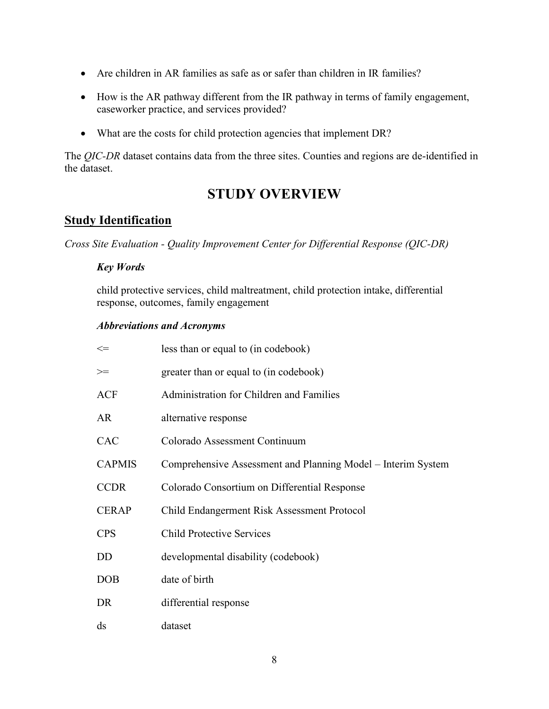- Are children in AR families as safe as or safer than children in IR families?
- · How is the AR pathway different from the IR pathway in terms of family engagement, caseworker practice, and services provided?
- What are the costs for child protection agencies that implement DR?

The *QIC-DR* dataset contains data from the three sites. Counties and regions are de-identified in the dataset.

## <span id="page-7-0"></span>**STUDY OVERVIEW**

## <span id="page-7-1"></span>**Study Identification**

*Cross Site Evaluation - Quality Improvement Center for Differential Response (QIC-DR)*

#### *Key Words*

child protective services, child maltreatment, child protection intake, differential response, outcomes, family engagement

#### *Abbreviations and Acronyms*

| $\Leftarrow$           | less than or equal to (in codebook)                          |
|------------------------|--------------------------------------------------------------|
| $>=$                   | greater than or equal to (in codebook)                       |
| <b>ACF</b>             | Administration for Children and Families                     |
| <b>AR</b>              | alternative response                                         |
| <b>CAC</b>             | Colorado Assessment Continuum                                |
| <b>CAPMIS</b>          | Comprehensive Assessment and Planning Model – Interim System |
| <b>CCDR</b>            | Colorado Consortium on Differential Response                 |
| <b>CERAP</b>           | Child Endangerment Risk Assessment Protocol                  |
| <b>CPS</b>             | <b>Child Protective Services</b>                             |
| DD                     | developmental disability (codebook)                          |
| <b>DOB</b>             | date of birth                                                |
| DR                     | differential response                                        |
| $\mathrm{d}\mathrm{s}$ | dataset                                                      |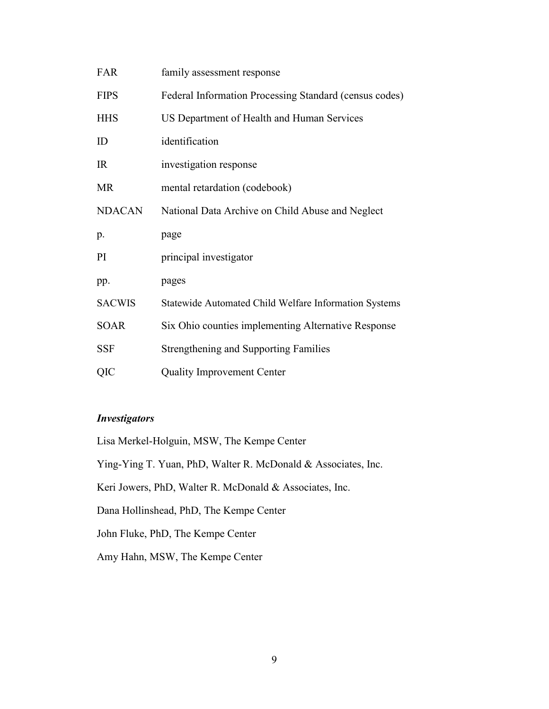| <b>FAR</b>    | family assessment response                             |
|---------------|--------------------------------------------------------|
| <b>FIPS</b>   | Federal Information Processing Standard (census codes) |
| <b>HHS</b>    | US Department of Health and Human Services             |
| ID            | identification                                         |
| IR            | investigation response                                 |
| <b>MR</b>     | mental retardation (codebook)                          |
| <b>NDACAN</b> | National Data Archive on Child Abuse and Neglect       |
|               |                                                        |
| p.            | page                                                   |
| PI            | principal investigator                                 |
| pp.           | pages                                                  |
| <b>SACWIS</b> | Statewide Automated Child Welfare Information Systems  |
| <b>SOAR</b>   | Six Ohio counties implementing Alternative Response    |
| <b>SSF</b>    | <b>Strengthening and Supporting Families</b>           |

#### *Investigators*

Lisa Merkel-Holguin, MSW, The Kempe Center

Ying-Ying T. Yuan, PhD, Walter R. McDonald & Associates, Inc.

Keri Jowers, PhD, Walter R. McDonald & Associates, Inc.

Dana Hollinshead, PhD, The Kempe Center

John Fluke, PhD, The Kempe Center

Amy Hahn, MSW, The Kempe Center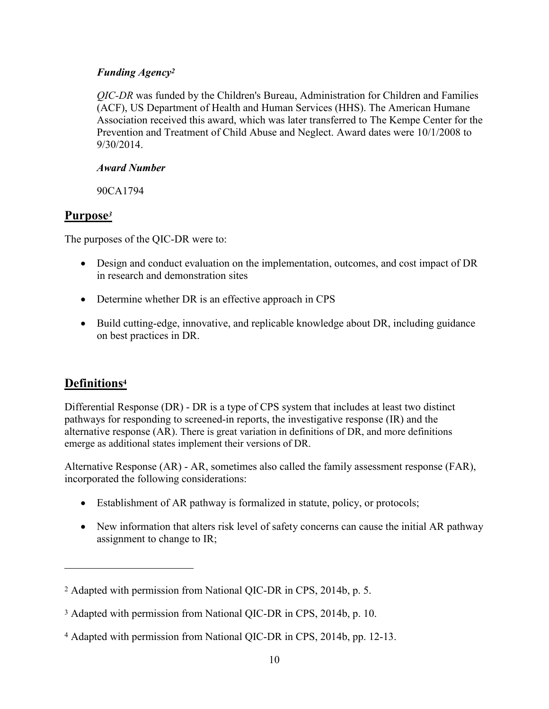#### *Funding Agency 2*

*QIC-DR* was funded by the Children's Bureau, Administration for Children and Families (ACF), US Department of Health and Human Services (HHS). The American Humane Association received this award, which was later transferred to The Kempe Center for the Prevention and Treatment of Child Abuse and Neglect. Award dates were 10/1/2008 to 9/30/2014.

#### *Award Number*

90CA1794

## <span id="page-9-0"></span>**Purpose***[3](#page-9-2)*

The purposes of the QIC-DR were to:

- Design and conduct evaluation on the implementation, outcomes, and cost impact of DR in research and demonstration sites
- Determine whether DR is an effective approach in CPS
- Build cutting-edge, innovative, and replicable knowledge about DR, including guidance on best practices in DR.

## <span id="page-9-1"></span>**Definitions<sup>4</sup>**

 $\overline{a}$ 

Differential Response (DR) - DR is a type of CPS system that includes at least two distinct pathways for responding to screened-in reports, the investigative response (IR) and the alternative response (AR). There is great variation in definitions of DR, and more definitions emerge as additional states implement their versions of DR.

Alternative Response (AR) - AR, sometimes also called the family assessment response (FAR), incorporated the following considerations:

- Establishment of AR pathway is formalized in statute, policy, or protocols;
- New information that alters risk level of safety concerns can cause the initial AR pathway assignment to change to IR;

<sup>2</sup> Adapted with permission from National QIC-DR in CPS, 2014b, p. 5.

<span id="page-9-2"></span><sup>3</sup> Adapted with permission from National QIC-DR in CPS, 2014b, p. 10.

<sup>4</sup> Adapted with permission from National QIC-DR in CPS, 2014b, pp. 12-13.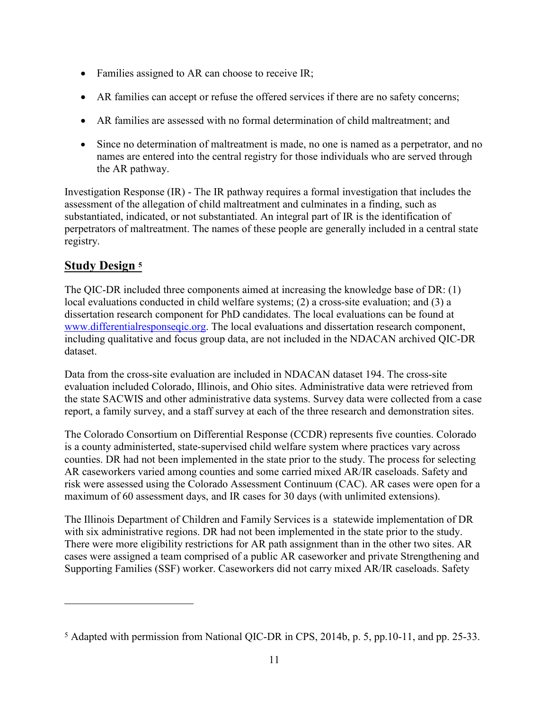- Families assigned to AR can choose to receive IR;
- AR families can accept or refuse the offered services if there are no safety concerns;
- · AR families are assessed with no formal determination of child maltreatment; and
- Since no determination of maltreatment is made, no one is named as a perpetrator, and no names are entered into the central registry for those individuals who are served through the AR pathway.

Investigation Response (IR) - The IR pathway requires a formal investigation that includes the assessment of the allegation of child maltreatment and culminates in a finding, such as substantiated, indicated, or not substantiated. An integral part of IR is the identification of perpetrators of maltreatment. The names of these people are generally included in a central state registry.

## <span id="page-10-0"></span>**Study Design [5](#page-10-1)**

 $\overline{a}$ 

The QIC-DR included three components aimed at increasing the knowledge base of DR: (1) local evaluations conducted in child welfare systems; (2) a cross-site evaluation; and (3) a dissertation research component for PhD candidates. The local evaluations can be found at [www.differentialresponseqic.org.](http://www.differentialresponseqic.org/) The local evaluations and dissertation research component, including qualitative and focus group data, are not included in the NDACAN archived QIC-DR dataset.

Data from the cross-site evaluation are included in NDACAN dataset 194. The cross-site evaluation included Colorado, Illinois, and Ohio sites. Administrative data were retrieved from the state SACWIS and other administrative data systems. Survey data were collected from a case report, a family survey, and a staff survey at each of the three research and demonstration sites.

The Colorado Consortium on Differential Response (CCDR) represents five counties. Colorado is a county administerted, state-supervised child welfare system where practices vary across counties. DR had not been implemented in the state prior to the study. The process for selecting AR caseworkers varied among counties and some carried mixed AR/IR caseloads. Safety and risk were assessed using the Colorado Assessment Continuum (CAC). AR cases were open for a maximum of 60 assessment days, and IR cases for 30 days (with unlimited extensions).

The Illinois Department of Children and Family Services is a statewide implementation of DR with six administrative regions. DR had not been implemented in the state prior to the study. There were more eligibility restrictions for AR path assignment than in the other two sites. AR cases were assigned a team comprised of a public AR caseworker and private Strengthening and Supporting Families (SSF) worker. Caseworkers did not carry mixed AR/IR caseloads. Safety

<span id="page-10-1"></span><sup>5</sup> Adapted with permission from National QIC-DR in CPS, 2014b, p. 5, pp.10-11, and pp. 25-33.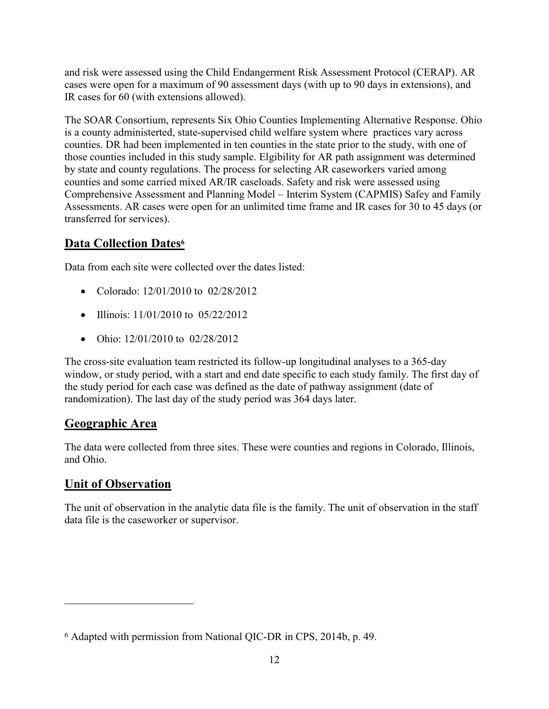and risk were assessed using the Child Endangerment Risk Assessment Protocol (CERAP). AR cases were open for a maximum of 90 assessment days (with up to 90 days in extensions), and IR cases for 60 (with extensions allowed).

The SOAR Consortium, represents Six Ohio Counties Implementing Alternative Response. Ohio is a county administerted, state-supervised child welfare system where practices vary across counties. DR had been implemented in ten counties in the state prior to the study, with one of those counties included in this study sample. Elgibility for AR path assignment was determined by state and county regulations. The process for selecting AR caseworkers varied among counties and some carried mixed AR/IR caseloads. Safety and risk were assessed using Comprehensive Assessment and Planning Model – Interim System (CAPMIS) Safey and Family Assessments. AR cases were open for an unlimited time frame and IR cases for 30 to 45 days (or transferred for services).

## <span id="page-11-0"></span>**Data Collection Dates [6](#page-11-3)**

Data from each site were collected over the dates listed:

- Colorado: 12/01/2010 to 02/28/2012
- Illinois: 11/01/2010 to 05/22/2012
- Ohio: 12/01/2010 to 02/28/2012

The cross-site evaluation team restricted its follow-up longitudinal analyses to a 365-day window, or study period, with a start and end date specific to each study family. The first day of the study period for each case was defined as the date of pathway assignment (date of randomization). The last day of the study period was 364 days later.

#### <span id="page-11-1"></span>**Geographic Area**

The data were collected from three sites. These were counties and regions in Colorado, Illinois, and Ohio.

## <span id="page-11-2"></span>**Unit of Observation**

 $\overline{a}$ 

The unit of observation in the analytic data file is the family. The unit of observation in the staff data file is the caseworker or supervisor.

<span id="page-11-3"></span><sup>6</sup> Adapted with permission from National QIC-DR in CPS, 2014b, p. 49.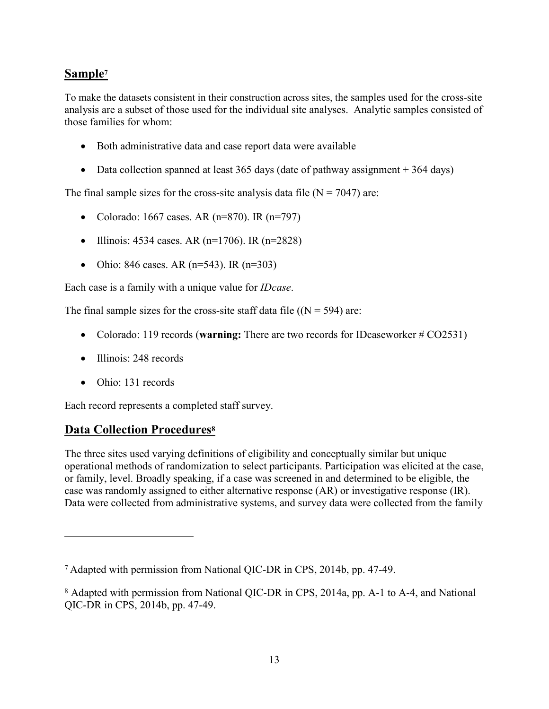## <span id="page-12-0"></span>**Sample [7](#page-12-2)**

To make the datasets consistent in their construction across sites, the samples used for the cross-site analysis are a subset of those used for the individual site analyses. Analytic samples consisted of those families for whom:

- Both administrative data and case report data were available
- Data collection spanned at least 365 days (date of pathway assignment + 364 days)

The final sample sizes for the cross-site analysis data file  $(N = 7047)$  are:

- Colorado: 1667 cases. AR ( $n=870$ ). IR ( $n=797$ )
- Illinois: 4534 cases. AR (n=1706). IR (n=2828)
- Ohio: 846 cases. AR ( $n=543$ ). IR ( $n=303$ )

Each case is a family with a unique value for *IDcase*.

The final sample sizes for the cross-site staff data file  $(N = 594)$  are:

- · Colorado: 119 records (**warning:** There are two records for IDcaseworker # CO2531)
- Illinois: 248 records
- Ohio: 131 records

 $\overline{a}$ 

Each record represents a completed staff survey.

#### <span id="page-12-1"></span>**Data Collection Procedures<sup>8</sup>**

The three sites used varying definitions of eligibility and conceptually similar but unique operational methods of randomization to select participants. Participation was elicited at the case, or family, level. Broadly speaking, if a case was screened in and determined to be eligible, the case was randomly assigned to either alternative response (AR) or investigative response (IR). Data were collected from administrative systems, and survey data were collected from the family

<span id="page-12-2"></span><sup>7</sup> Adapted with permission from National QIC-DR in CPS, 2014b, pp. 47-49.

<sup>8</sup> Adapted with permission from National QIC-DR in CPS, 2014a, pp. A-1 to A-4, and National QIC-DR in CPS, 2014b, pp. 47-49.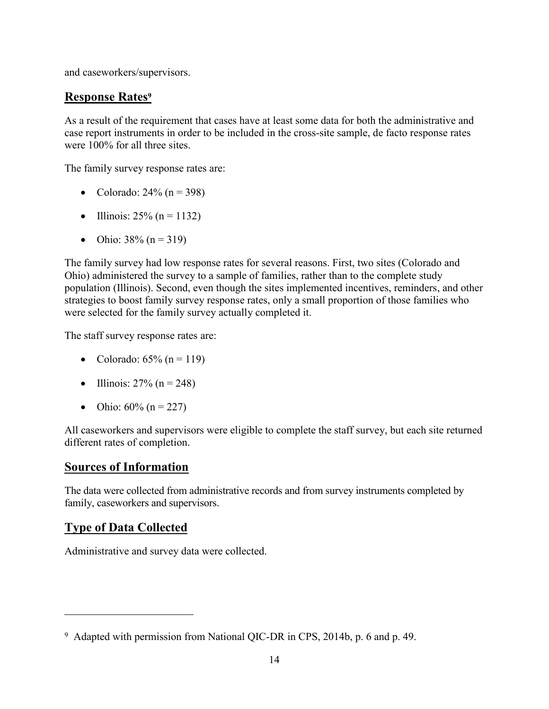and caseworkers/supervisors.

## <span id="page-13-0"></span>**Response Rates [9](#page-13-3)**

As a result of the requirement that cases have at least some data for both the administrative and case report instruments in order to be included in the cross-site sample, de facto response rates were 100% for all three sites.

The family survey response rates are:

- Colorado:  $24\%$  (n = 398)
- Illinois:  $25% (n = 1132)$
- Ohio:  $38\%$  (n = 319)

The family survey had low response rates for several reasons. First, two sites (Colorado and Ohio) administered the survey to a sample of families, rather than to the complete study population (Illinois). Second, even though the sites implemented incentives, reminders, and other strategies to boost family survey response rates, only a small proportion of those families who were selected for the family survey actually completed it.

The staff survey response rates are:

- Colorado:  $65\%$  (n = 119)
- Illinois:  $27% (n = 248)$
- Ohio:  $60\%$  (n = 227)

All caseworkers and supervisors were eligible to complete the staff survey, but each site returned different rates of completion.

#### <span id="page-13-1"></span>**Sources of Information**

The data were collected from administrative records and from survey instruments completed by family, caseworkers and supervisors.

#### <span id="page-13-2"></span>**Type of Data Collected**

 $\overline{a}$ 

Administrative and survey data were collected.

<span id="page-13-3"></span><sup>9</sup> Adapted with permission from National QIC-DR in CPS, 2014b, p. 6 and p. 49.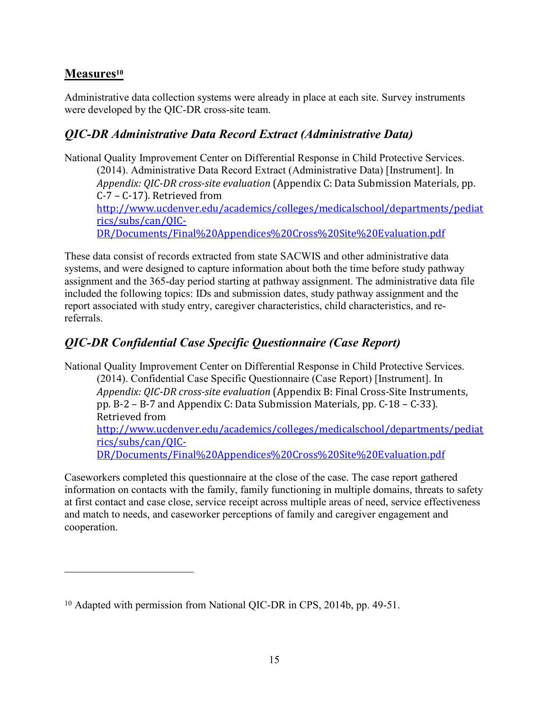## <span id="page-14-0"></span>**Measures [10](#page-14-1)**

 $\overline{a}$ 

Administrative data collection systems were already in place at each site. Survey instruments were developed by the QIC-DR cross-site team.

## *QIC-DR Administrative Data Record Extract (Administrative Data)*

National Quality Improvement Center on Differential Response in Child Protective Services. (2014). Administrative Data Record Extract (Administrative Data) [Instrument]. In *Appendix: QIC-DR cross-site evaluation* (Appendix C: Data Submission Materials, pp. C-7 – C-17). Retrieved from [http://www.ucdenver.edu/academics/colleges/medicalschool/departments/pediat](http://www.ucdenver.edu/academics/colleges/medicalschool/departments/pediatrics/subs/can/QIC-DR/Documents/Final Appendices Cross Site Evaluation.pdf) [rics/subs/can/QIC-](http://www.ucdenver.edu/academics/colleges/medicalschool/departments/pediatrics/subs/can/QIC-DR/Documents/Final Appendices Cross Site Evaluation.pdf)[DR/Documents/Final%20Appendices%20Cross%20Site%20Evaluation.pdf](http://www.ucdenver.edu/academics/colleges/medicalschool/departments/pediatrics/subs/can/QIC-DR/Documents/Final Appendices Cross Site Evaluation.pdf)

These data consist of records extracted from state SACWIS and other administrative data systems, and were designed to capture information about both the time before study pathway assignment and the 365-day period starting at pathway assignment. The administrative data file included the following topics: IDs and submission dates, study pathway assignment and the report associated with study entry, caregiver characteristics, child characteristics, and rereferrals.

## *QIC-DR Confidential Case Specific Questionnaire (Case Report)*

National Quality Improvement Center on Differential Response in Child Protective Services.

(2014). Confidential Case Specific Questionnaire (Case Report) [Instrument]. In *Appendix: QIC-DR cross-site evaluation* (Appendix B: Final Cross-Site Instruments, pp. B-2 – B-7 and Appendix C: Data Submission Materials, pp. C-18 – C-33). Retrieved from

[http://www.ucdenver.edu/academics/colleges/medicalschool/departments/pediat](http://www.ucdenver.edu/academics/colleges/medicalschool/departments/pediatrics/subs/can/QIC-DR/Documents/Final Appendices Cross Site Evaluation.pdf) [rics/subs/can/QIC-](http://www.ucdenver.edu/academics/colleges/medicalschool/departments/pediatrics/subs/can/QIC-DR/Documents/Final Appendices Cross Site Evaluation.pdf)

[DR/Documents/Final%20Appendices%20Cross%20Site%20Evaluation.pdf](http://www.ucdenver.edu/academics/colleges/medicalschool/departments/pediatrics/subs/can/QIC-DR/Documents/Final Appendices Cross Site Evaluation.pdf)

Caseworkers completed this questionnaire at the close of the case. The case report gathered information on contacts with the family, family functioning in multiple domains, threats to safety at first contact and case close, service receipt across multiple areas of need, service effectiveness and match to needs, and caseworker perceptions of family and caregiver engagement and cooperation.

<span id="page-14-1"></span><sup>10</sup> Adapted with permission from National QIC-DR in CPS, 2014b, pp. 49-51.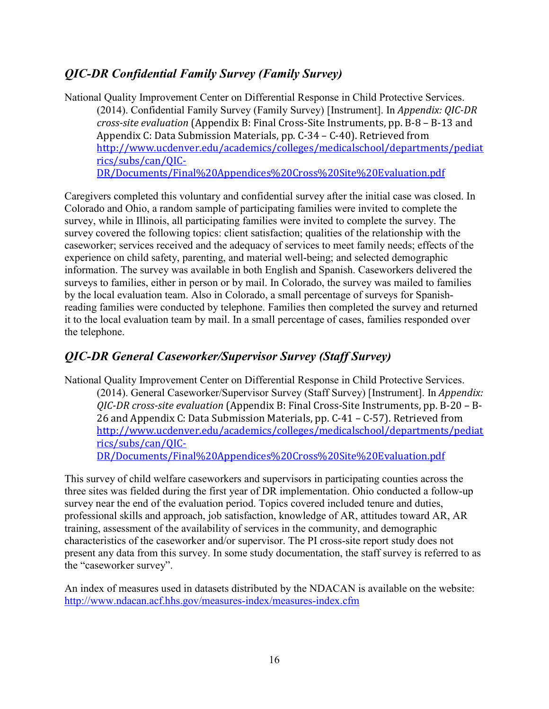## *QIC-DR Confidential Family Survey (Family Survey)*

National Quality Improvement Center on Differential Response in Child Protective Services. (2014). Confidential Family Survey (Family Survey) [Instrument]. In *Appendix: QIC-DR cross-site evaluation* (Appendix B: Final Cross-Site Instruments, pp. B-8 – B-13 and Appendix C: Data Submission Materials, pp. C-34 – C-40). Retrieved from [http://www.ucdenver.edu/academics/colleges/medicalschool/departments/pediat](http://www.ucdenver.edu/academics/colleges/medicalschool/departments/pediatrics/subs/can/QIC-DR/Documents/Final Appendices Cross Site Evaluation.pdf) [rics/subs/can/QIC-](http://www.ucdenver.edu/academics/colleges/medicalschool/departments/pediatrics/subs/can/QIC-DR/Documents/Final Appendices Cross Site Evaluation.pdf)[DR/Documents/Final%20Appendices%20Cross%20Site%20Evaluation.pdf](http://www.ucdenver.edu/academics/colleges/medicalschool/departments/pediatrics/subs/can/QIC-DR/Documents/Final Appendices Cross Site Evaluation.pdf)

Caregivers completed this voluntary and confidential survey after the initial case was closed. In Colorado and Ohio, a random sample of participating families were invited to complete the survey, while in Illinois, all participating families were invited to complete the survey. The survey covered the following topics: client satisfaction; qualities of the relationship with the caseworker; services received and the adequacy of services to meet family needs; effects of the experience on child safety, parenting, and material well-being; and selected demographic information. The survey was available in both English and Spanish. Caseworkers delivered the surveys to families, either in person or by mail. In Colorado, the survey was mailed to families by the local evaluation team. Also in Colorado, a small percentage of surveys for Spanishreading families were conducted by telephone. Families then completed the survey and returned it to the local evaluation team by mail. In a small percentage of cases, families responded over the telephone.

#### *QIC-DR General Caseworker/Supervisor Survey (Staff Survey)*

National Quality Improvement Center on Differential Response in Child Protective Services. (2014). General Caseworker/Supervisor Survey (Staff Survey) [Instrument]. In *Appendix: QIC-DR cross-site evaluation* (Appendix B: Final Cross-Site Instruments, pp. B-20 – B-26 and Appendix C: Data Submission Materials, pp. C-41 – C-57). Retrieved from [http://www.ucdenver.edu/academics/colleges/medicalschool/departments/pediat](http://www.ucdenver.edu/academics/colleges/medicalschool/departments/pediatrics/subs/can/QIC-DR/Documents/Final Appendices Cross Site Evaluation.pdf) [rics/subs/can/QIC-](http://www.ucdenver.edu/academics/colleges/medicalschool/departments/pediatrics/subs/can/QIC-DR/Documents/Final Appendices Cross Site Evaluation.pdf)

[DR/Documents/Final%20Appendices%20Cross%20Site%20Evaluation.pdf](http://www.ucdenver.edu/academics/colleges/medicalschool/departments/pediatrics/subs/can/QIC-DR/Documents/Final Appendices Cross Site Evaluation.pdf)

This survey of child welfare caseworkers and supervisors in participating counties across the three sites was fielded during the first year of DR implementation. Ohio conducted a follow-up survey near the end of the evaluation period. Topics covered included tenure and duties, professional skills and approach, job satisfaction, knowledge of AR, attitudes toward AR, AR training, assessment of the availability of services in the community, and demographic characteristics of the caseworker and/or supervisor. The PI cross-site report study does not present any data from this survey. In some study documentation, the staff survey is referred to as the "caseworker survey".

An index of measures used in datasets distributed by the NDACAN is available on the website: [http://www.ndacan.acf.hhs.gov/measures-index/measures-index.cf](http://www.ndacan.acf.hhs.gov/measures-index/measures-index.cfm)m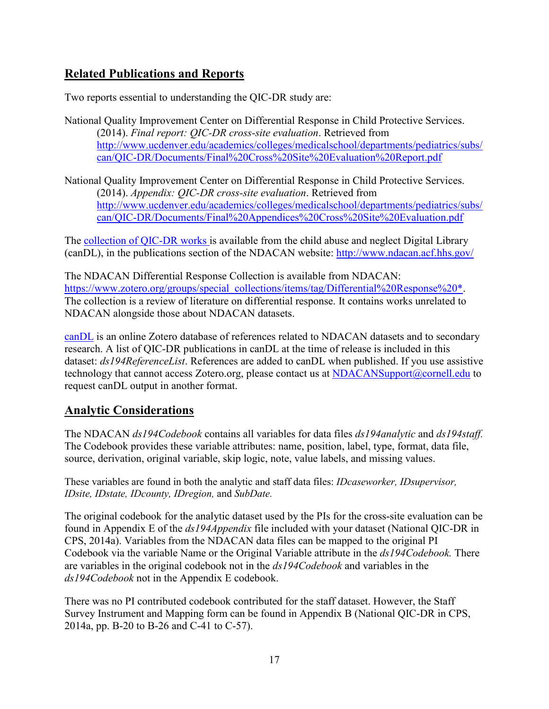## <span id="page-16-0"></span>**Related Publications and Reports**

Two reports essential to understanding the QIC-DR study are:

- National Quality Improvement Center on Differential Response in Child Protective Services. (2014). *Final report: QIC-DR cross-site evaluation*. Retrieved from [http://www.ucdenver.edu/academics/colleges/medicalschool/departments/pediatrics/subs/](http://www.ucdenver.edu/academics/colleges/medicalschool/departments/pediatrics/subs/can/QIC-DR/Documents/Final Cross Site Evaluation Report.pdf) [can/QIC-DR/Documents/Final%20Cross%20Site%20Evaluation%20Report.pdf](http://www.ucdenver.edu/academics/colleges/medicalschool/departments/pediatrics/subs/can/QIC-DR/Documents/Final Cross Site Evaluation Report.pdf)
- National Quality Improvement Center on Differential Response in Child Protective Services. (2014). *Appendix: QIC-DR cross-site evaluation*. Retrieved from [http://www.ucdenver.edu/academics/colleges/medicalschool/departments/pediatrics/subs/](http://www.ucdenver.edu/academics/colleges/medicalschool/departments/pediatrics/subs/can/QIC-DR/Documents/Final Appendices Cross Site Evaluation.pdf) [can/QIC-DR/Documents/Final%20Appendices%20Cross%20Site%20Evaluation.pdf](http://www.ucdenver.edu/academics/colleges/medicalschool/departments/pediatrics/subs/can/QIC-DR/Documents/Final Appendices Cross Site Evaluation.pdf)

The [collection of QIC-DR works](https://www.zotero.org/groups/candl/items/tag/194-QICDR) is available from the child abuse and neglect Digital Library (canDL), in the publications section of the NDACAN website: [http://www.ndacan.acf.hhs.go](http://www.ndacan.acf.hhs.gov/)v/

The NDACAN Differential Response Collection is available from NDACAN: [https://www.zotero.org/groups/special\\_collections/items/tag/Differential%20Response%20\\*.](https://www.zotero.org/groups/special_collections/items/tag/Differential Response *) The collection is a review of literature on differential response. It contains works unrelated to NDACAN alongside those about NDACAN datasets.

[canDL](http://www.ndacan.acf.hhs.gov/publications/publications.cfm) is an online Zotero database of references related to NDACAN datasets and to secondary research. A list of QIC-DR publications in canDL at the time of release is included in this dataset: *ds194ReferenceList*. References are added to canDL when published. If you use assistive technology that cannot access Zotero.org, please contact us at [NDACANSupport@cornell.edu](mailto:NDACANsupport@cornell.edu?subject=candL) to request canDL output in another format.

#### <span id="page-16-1"></span>**Analytic Considerations**

The NDACAN *ds194Codebook* contains all variables for data files *ds194analytic* and *ds194staff.* The Codebook provides these variable attributes: name, position, label, type, format, data file, source, derivation, original variable, skip logic, note, value labels, and missing values.

These variables are found in both the analytic and staff data files: *IDcaseworker, IDsupervisor, IDsite, IDstate, IDcounty, IDregion,* and *SubDate.* 

The original codebook for the analytic dataset used by the PIs for the cross-site evaluation can be found in Appendix E of the *ds194Appendix* file included with your dataset (National QIC-DR in CPS, 2014a). Variables from the NDACAN data files can be mapped to the original PI Codebook via the variable Name or the Original Variable attribute in the *ds194Codebook.* There are variables in the original codebook not in the *ds194Codebook* and variables in the *ds194Codebook* not in the Appendix E codebook.

There was no PI contributed codebook contributed for the staff dataset. However, the Staff Survey Instrument and Mapping form can be found in Appendix B (National QIC-DR in CPS, 2014a, pp. B-20 to B-26 and C-41 to C-57).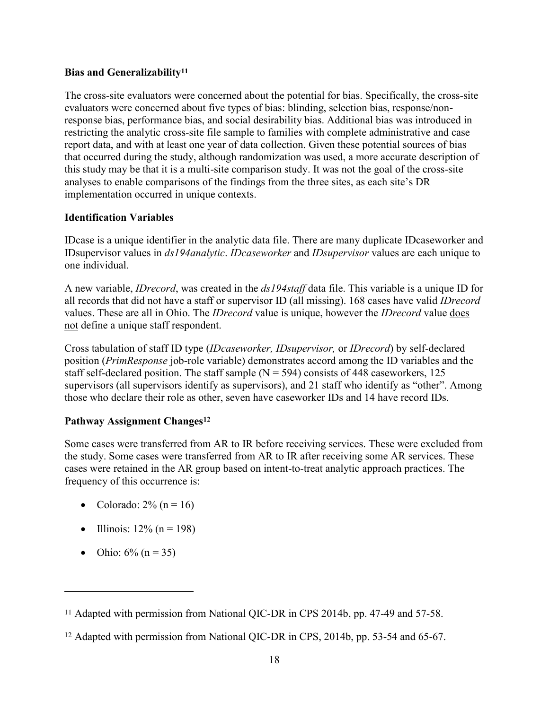#### **Bias and Generalizability [1](#page-17-0)1**

The cross-site evaluators were concerned about the potential for bias. Specifically, the cross-site evaluators were concerned about five types of bias: blinding, selection bias, response/nonresponse bias, performance bias, and social desirability bias. Additional bias was introduced in restricting the analytic cross-site file sample to families with complete administrative and case report data, and with at least one year of data collection. Given these potential sources of bias that occurred during the study, although randomization was used, a more accurate description of this study may be that it is a multi-site comparison study. It was not the goal of the cross-site analyses to enable comparisons of the findings from the three sites, as each site's DR implementation occurred in unique contexts.

#### **Identification Variables**

IDcase is a unique identifier in the analytic data file. There are many duplicate IDcaseworker and IDsupervisor values in *ds194analytic*. *IDcaseworker* and *IDsupervisor* values are each unique to one individual.

A new variable, *IDrecord*, was created in the *ds194staff* data file. This variable is a unique ID for all records that did not have a staff or supervisor ID (all missing). 168 cases have valid *IDrecord* values. These are all in Ohio. The *IDrecord* value is unique, however the *IDrecord* value does not define a unique staff respondent.

Cross tabulation of staff ID type (*IDcaseworker, IDsupervisor,* or *IDrecord*) by self-declared position (*PrimResponse* job-role variable) demonstrates accord among the ID variables and the staff self-declared position. The staff sample  $(N = 594)$  consists of 448 caseworkers, 125 supervisors (all supervisors identify as supervisors), and 21 staff who identify as "other". Among those who declare their role as other, seven have caseworker IDs and 14 have record IDs.

#### **Pathway Assignment Changes[1](#page-17-1)2**

Some cases were transferred from AR to IR before receiving services. These were excluded from the study. Some cases were transferred from AR to IR after receiving some AR services. These cases were retained in the AR group based on intent-to-treat analytic approach practices. The frequency of this occurrence is:

- Colorado:  $2\%$  (n = 16)
- Illinois:  $12\%$  (n = 198)
- Ohio:  $6\%$  (n = 35)

 $\overline{a}$ 

<span id="page-17-0"></span><sup>11</sup> Adapted with permission from National QIC-DR in CPS 2014b, pp. 47-49 and 57-58.

<span id="page-17-1"></span><sup>12</sup> Adapted with permission from National QIC-DR in CPS, 2014b, pp. 53-54 and 65-67.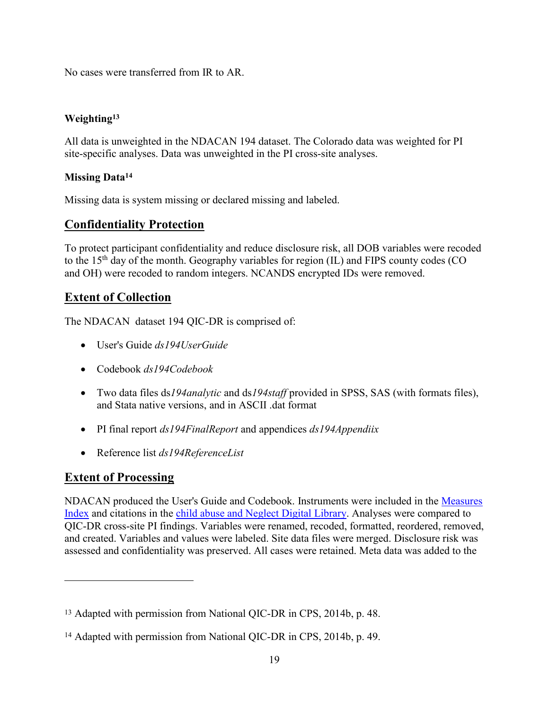No cases were transferred from IR to AR.

#### **Weighting 13**

All data is unweighted in the NDACAN 194 dataset. The Colorado data was weighted for PI site-specific analyses. Data was unweighted in the PI cross-site analyses.

#### **Missing Data[14](#page-18-3)**

Missing data is system missing or declared missing and labeled.

#### <span id="page-18-0"></span>**Confidentiality Protection**

To protect participant confidentiality and reduce disclosure risk, all DOB variables were recoded to the  $15<sup>th</sup>$  day of the month. Geography variables for region (IL) and FIPS county codes (CO and OH) were recoded to random integers. NCANDS encrypted IDs were removed.

#### <span id="page-18-1"></span>**Extent of Collection**

The NDACAN dataset 194 QIC-DR is comprised of:

- · User's Guide *ds194UserGuide*
- · Codebook *ds194Codebook*
- · Two data files ds*194analytic* and ds*194staff* provided in SPSS, SAS (with formats files), and Stata native versions, and in ASCII .dat format
- · PI final report *ds194FinalReport* and appendices *ds194Appendiix*
- · Reference list *ds194ReferenceList*

## <span id="page-18-2"></span>**Extent of Processing**

 $\overline{a}$ 

NDACAN produced the User's Guide and Codebook. Instruments were included in the [Measures](http://www.ndacan.acf.hhs.gov/measures-index/measures-index.cfm) Index [and citations in the child abuse and Neglect Digital Library.](http://www.ndacan.acf.hhs.gov/measures-index/measures-index.cfm) Analyses were compared to QIC-DR cross-site PI findings. Variables were renamed, recoded, formatted, reordered, removed, and created. Variables and values were labeled. Site data files were merged. Disclosure risk was assessed and confidentiality was preserved. All cases were retained. Meta data was added to the

<sup>13</sup> Adapted with permission from National QIC-DR in CPS, 2014b, p. 48.

<span id="page-18-3"></span><sup>14</sup> Adapted with permission from National QIC-DR in CPS, 2014b, p. 49.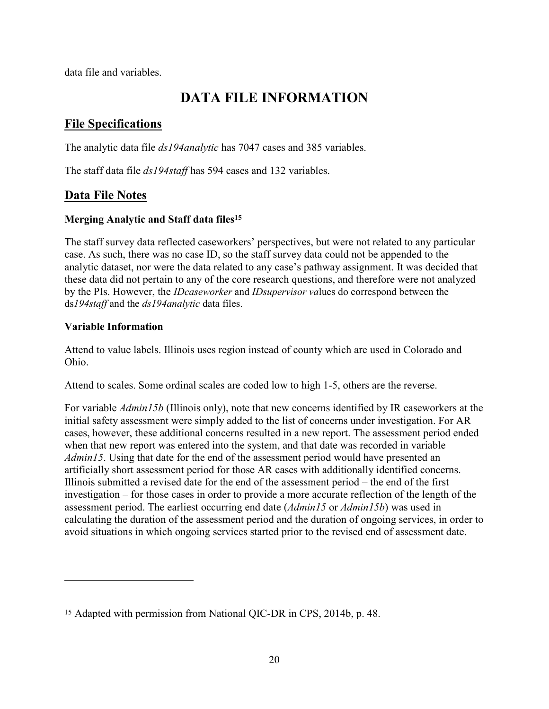data file and variables.

## <span id="page-19-0"></span>**DATA FILE INFORMATION**

## <span id="page-19-1"></span>**File Specifications**

The analytic data file *ds194analytic* has 7047 cases and 385 variables.

The staff data file *ds194staff* has 594 cases and 132 variables.

## <span id="page-19-2"></span>**Data File Notes**

#### **Merging Analytic and Staff data files<sup>15</sup>**

The staff survey data reflected caseworkers' perspectives, but were not related to any particular case. As such, there was no case ID, so the staff survey data could not be appended to the analytic dataset, nor were the data related to any case's pathway assignment. It was decided that these data did not pertain to any of the core research questions, and therefore were not analyzed by the PIs. However, the *IDcaseworker* and *IDsupervisor va*lues do correspond between the ds*194staff* and the *ds194analytic* data files.

#### **Variable Information**

 $\overline{a}$ 

Attend to value labels. Illinois uses region instead of county which are used in Colorado and Ohio.

Attend to scales. Some ordinal scales are coded low to high 1-5, others are the reverse.

For variable *Admin15b* (Illinois only), note that new concerns identified by IR caseworkers at the initial safety assessment were simply added to the list of concerns under investigation. For AR cases, however, these additional concerns resulted in a new report. The assessment period ended when that new report was entered into the system, and that date was recorded in variable *Admin15*. Using that date for the end of the assessment period would have presented an artificially short assessment period for those AR cases with additionally identified concerns. Illinois submitted a revised date for the end of the assessment period – the end of the first investigation – for those cases in order to provide a more accurate reflection of the length of the assessment period. The earliest occurring end date (*Admin15* or *Admin15b*) was used in calculating the duration of the assessment period and the duration of ongoing services, in order to avoid situations in which ongoing services started prior to the revised end of assessment date.

<sup>15</sup> Adapted with permission from National QIC-DR in CPS, 2014b, p. 48.